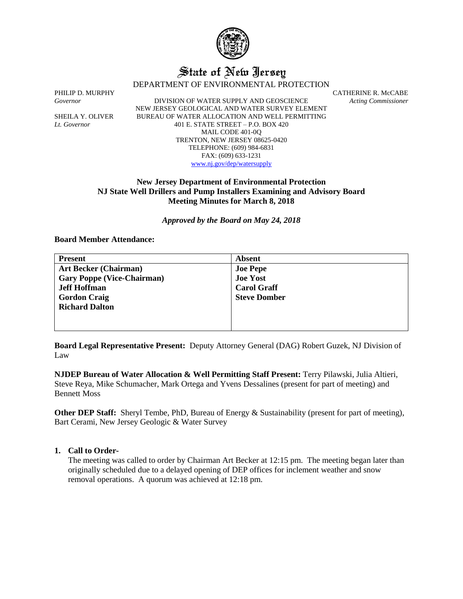

# State of New Jersey

DEPARTMENT OF ENVIRONMENTAL PROTECTION

*Governor* DIVISION OF WATER SUPPLY AND GEOSCIENCE *Acting Commissioner* NEW JERSEY GEOLOGICAL AND WATER SURVEY ELEMENT SHEILA Y. OLIVER BUREAU OF WATER ALLOCATION AND WELL PERMITTING *Lt. Governor* 401 E. STATE STREET – P.O. BOX 420 MAIL CODE 401-0Q TRENTON, NEW JERSEY 08625-0420 TELEPHONE: (609) 984-6831 FAX: (609) 633-1231 [www.nj.gov/dep/watersupply](http://www.nj.gov/dep/watersupply)

PHILIP D. MURPHY CATHERINE R. McCABE

# **New Jersey Department of Environmental Protection NJ State Well Drillers and Pump Installers Examining and Advisory Board Meeting Minutes for March 8, 2018**

*Approved by the Board on May 24, 2018*

**Board Member Attendance:**

| <b>Present</b>                    | <b>Absent</b>       |
|-----------------------------------|---------------------|
| <b>Art Becker (Chairman)</b>      | <b>Joe Pepe</b>     |
| <b>Gary Poppe (Vice-Chairman)</b> | <b>Joe Yost</b>     |
| <b>Jeff Hoffman</b>               | <b>Carol Graff</b>  |
| <b>Gordon Craig</b>               | <b>Steve Domber</b> |
| <b>Richard Dalton</b>             |                     |
|                                   |                     |
|                                   |                     |

**Board Legal Representative Present:** Deputy Attorney General (DAG) Robert Guzek, NJ Division of Law

**NJDEP Bureau of Water Allocation & Well Permitting Staff Present:** Terry Pilawski, Julia Altieri, Steve Reya, Mike Schumacher, Mark Ortega and Yvens Dessalines (present for part of meeting) and Bennett Moss

**Other DEP Staff:** Sheryl Tembe, PhD, Bureau of Energy & Sustainability (present for part of meeting), Bart Cerami, New Jersey Geologic & Water Survey

## **1. Call to Order-**

The meeting was called to order by Chairman Art Becker at 12:15 pm. The meeting began later than originally scheduled due to a delayed opening of DEP offices for inclement weather and snow removal operations. A quorum was achieved at 12:18 pm.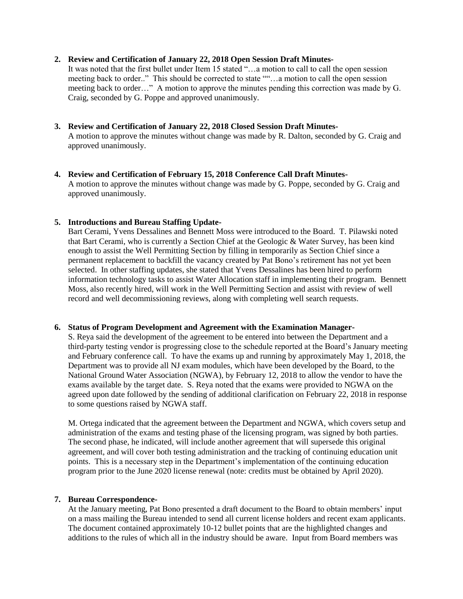### **2. Review and Certification of January 22, 2018 Open Session Draft Minutes-**

It was noted that the first bullet under Item 15 stated "…a motion to call to call the open session meeting back to order.." This should be corrected to state ""…a motion to call the open session meeting back to order..." A motion to approve the minutes pending this correction was made by G. Craig, seconded by G. Poppe and approved unanimously.

- **3. Review and Certification of January 22, 2018 Closed Session Draft Minutes-**A motion to approve the minutes without change was made by R. Dalton, seconded by G. Craig and approved unanimously.
- **4. Review and Certification of February 15, 2018 Conference Call Draft Minutes-**A motion to approve the minutes without change was made by G. Poppe, seconded by G. Craig and approved unanimously.

#### **5. Introductions and Bureau Staffing Update-**

Bart Cerami, Yvens Dessalines and Bennett Moss were introduced to the Board. T. Pilawski noted that Bart Cerami, who is currently a Section Chief at the Geologic & Water Survey, has been kind enough to assist the Well Permitting Section by filling in temporarily as Section Chief since a permanent replacement to backfill the vacancy created by Pat Bono's retirement has not yet been selected. In other staffing updates, she stated that Yvens Dessalines has been hired to perform information technology tasks to assist Water Allocation staff in implementing their program. Bennett Moss, also recently hired, will work in the Well Permitting Section and assist with review of well record and well decommissioning reviews, along with completing well search requests.

#### **6. Status of Program Development and Agreement with the Examination Manager-**

S. Reya said the development of the agreement to be entered into between the Department and a third-party testing vendor is progressing close to the schedule reported at the Board's January meeting and February conference call. To have the exams up and running by approximately May 1, 2018, the Department was to provide all NJ exam modules, which have been developed by the Board, to the National Ground Water Association (NGWA), by February 12, 2018 to allow the vendor to have the exams available by the target date. S. Reya noted that the exams were provided to NGWA on the agreed upon date followed by the sending of additional clarification on February 22, 2018 in response to some questions raised by NGWA staff.

M. Ortega indicated that the agreement between the Department and NGWA, which covers setup and administration of the exams and testing phase of the licensing program, was signed by both parties. The second phase, he indicated, will include another agreement that will supersede this original agreement, and will cover both testing administration and the tracking of continuing education unit points. This is a necessary step in the Department's implementation of the continuing education program prior to the June 2020 license renewal (note: credits must be obtained by April 2020).

## **7. Bureau Correspondence-**

At the January meeting, Pat Bono presented a draft document to the Board to obtain members' input on a mass mailing the Bureau intended to send all current license holders and recent exam applicants. The document contained approximately 10-12 bullet points that are the highlighted changes and additions to the rules of which all in the industry should be aware. Input from Board members was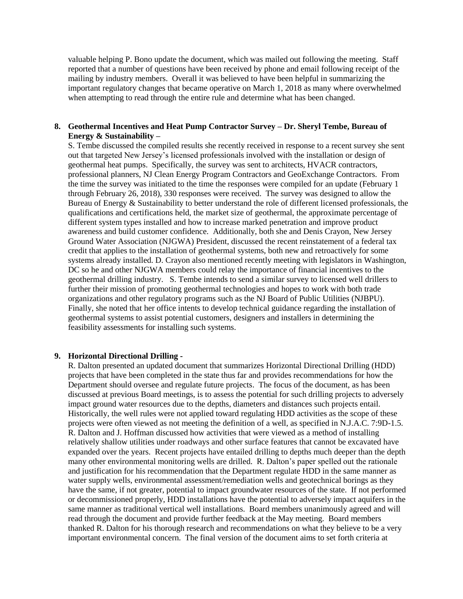valuable helping P. Bono update the document, which was mailed out following the meeting. Staff reported that a number of questions have been received by phone and email following receipt of the mailing by industry members. Overall it was believed to have been helpful in summarizing the important regulatory changes that became operative on March 1, 2018 as many where overwhelmed when attempting to read through the entire rule and determine what has been changed.

## **8. Geothermal Incentives and Heat Pump Contractor Survey – Dr. Sheryl Tembe, Bureau of Energy & Sustainability –**

S. Tembe discussed the compiled results she recently received in response to a recent survey she sent out that targeted New Jersey's licensed professionals involved with the installation or design of geothermal heat pumps. Specifically, the survey was sent to architects, HVACR contractors, professional planners, NJ Clean Energy Program Contractors and GeoExchange Contractors. From the time the survey was initiated to the time the responses were compiled for an update (February 1 through February 26, 2018), 330 responses were received. The survey was designed to allow the Bureau of Energy & Sustainability to better understand the role of different licensed professionals, the qualifications and certifications held, the market size of geothermal, the approximate percentage of different system types installed and how to increase marked penetration and improve product awareness and build customer confidence. Additionally, both she and Denis Crayon, New Jersey Ground Water Association (NJGWA) President, discussed the recent reinstatement of a federal tax credit that applies to the installation of geothermal systems, both new and retroactively for some systems already installed. D. Crayon also mentioned recently meeting with legislators in Washington, DC so he and other NJGWA members could relay the importance of financial incentives to the geothermal drilling industry. S. Tembe intends to send a similar survey to licensed well drillers to further their mission of promoting geothermal technologies and hopes to work with both trade organizations and other regulatory programs such as the NJ Board of Public Utilities (NJBPU). Finally, she noted that her office intents to develop technical guidance regarding the installation of geothermal systems to assist potential customers, designers and installers in determining the feasibility assessments for installing such systems.

#### **9. Horizontal Directional Drilling -**

R. Dalton presented an updated document that summarizes Horizontal Directional Drilling (HDD) projects that have been completed in the state thus far and provides recommendations for how the Department should oversee and regulate future projects. The focus of the document, as has been discussed at previous Board meetings, is to assess the potential for such drilling projects to adversely impact ground water resources due to the depths, diameters and distances such projects entail. Historically, the well rules were not applied toward regulating HDD activities as the scope of these projects were often viewed as not meeting the definition of a well, as specified in N.J.A.C. 7:9D-1.5. R. Dalton and J. Hoffman discussed how activities that were viewed as a method of installing relatively shallow utilities under roadways and other surface features that cannot be excavated have expanded over the years. Recent projects have entailed drilling to depths much deeper than the depth many other environmental monitoring wells are drilled. R. Dalton's paper spelled out the rationale and justification for his recommendation that the Department regulate HDD in the same manner as water supply wells, environmental assessment/remediation wells and geotechnical borings as they have the same, if not greater, potential to impact groundwater resources of the state. If not performed or decommissioned properly, HDD installations have the potential to adversely impact aquifers in the same manner as traditional vertical well installations. Board members unanimously agreed and will read through the document and provide further feedback at the May meeting. Board members thanked R. Dalton for his thorough research and recommendations on what they believe to be a very important environmental concern. The final version of the document aims to set forth criteria at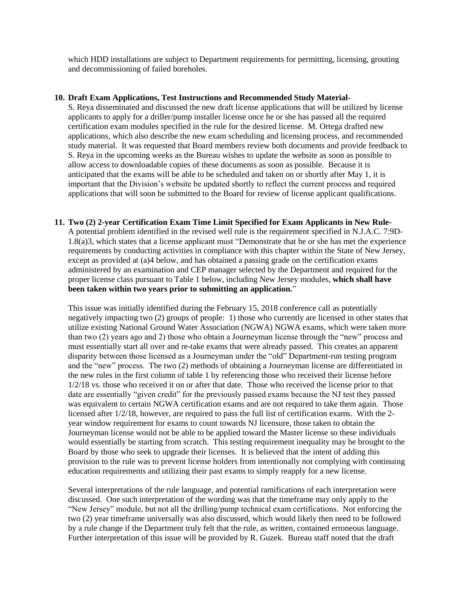which HDD installations are subject to Department requirements for permitting, licensing, grouting and decommissioning of failed boreholes.

#### **10. Draft Exam Applications, Test Instructions and Recommended Study Material-**

S. Reya disseminated and discussed the new draft license applications that will be utilized by license applicants to apply for a driller/pump installer license once he or she has passed all the required certification exam modules specified in the rule for the desired license. M. Ortega drafted new applications, which also describe the new exam scheduling and licensing process, and recommended study material. It was requested that Board members review both documents and provide feedback to S. Reya in the upcoming weeks as the Bureau wishes to update the website as soon as possible to allow access to downloadable copies of these documents as soon as possible. Because it is anticipated that the exams will be able to be scheduled and taken on or shortly after May 1, it is important that the Division's website be updated shortly to reflect the current process and required applications that will soon be submitted to the Board for review of license applicant qualifications.

**11. Two (2) 2-year Certification Exam Time Limit Specified for Exam Applicants in New Rule-**A potential problem identified in the revised well rule is the requirement specified in N.J.A.C. 7:9D-1.8(a)3, which states that a license applicant must "Demonstrate that he or she has met the experience requirements by conducting activities in compliance with this chapter within the State of New Jersey, except as provided at (a)4 below, and has obtained a passing grade on the certification exams administered by an examination and CEP manager selected by the Department and required for the proper license class pursuant to Table 1 below, including New Jersey modules, **which shall have been taken within two years prior to submitting an application.**"

This issue was initially identified during the February 15, 2018 conference call as potentially negatively impacting two (2) groups of people: 1) those who currently are licensed in other states that utilize existing National Ground Water Association (NGWA) NGWA exams, which were taken more than two (2) years ago and 2) those who obtain a Journeyman license through the "new" process and must essentially start all over and re-take exams that were already passed. This creates an apparent disparity between those licensed as a Journeyman under the "old" Department-run testing program and the "new" process. The two (2) methods of obtaining a Journeyman license are differentiated in the new rules in the first column of table 1 by referencing those who received their license before 1/2/18 vs. those who received it on or after that date. Those who received the license prior to that date are essentially "given credit" for the previously passed exams because the NJ test they passed was equivalent to certain NGWA certification exams and are not required to take them again. Those licensed after 1/2/18, however, are required to pass the full list of certification exams. With the 2 year window requirement for exams to count towards NJ licensure, those taken to obtain the Journeyman license would not be able to be applied toward the Master license so these individuals would essentially be starting from scratch. This testing requirement inequality may be brought to the Board by those who seek to upgrade their licenses. It is believed that the intent of adding this provision to the rule was to prevent license holders from intentionally not complying with continuing education requirements and utilizing their past exams to simply reapply for a new license.

Several interpretations of the rule language, and potential ramifications of each interpretation were discussed. One such interpretation of the wording was that the timeframe may only apply to the "New Jersey" module, but not all the drilling/pump technical exam certifications. Not enforcing the two (2) year timeframe universally was also discussed, which would likely then need to be followed by a rule change if the Department truly felt that the rule, as written, contained erroneous language. Further interpretation of this issue will be provided by R. Guzek. Bureau staff noted that the draft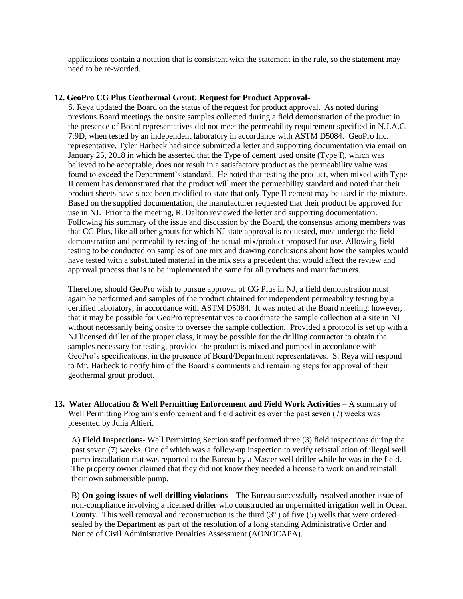applications contain a notation that is consistent with the statement in the rule, so the statement may need to be re-worded.

#### **12. GeoPro CG Plus Geothermal Grout: Request for Product Approval-**

S. Reya updated the Board on the status of the request for product approval. As noted during previous Board meetings the onsite samples collected during a field demonstration of the product in the presence of Board representatives did not meet the permeability requirement specified in N.J.A.C. 7:9D, when tested by an independent laboratory in accordance with ASTM D5084. GeoPro Inc. representative, Tyler Harbeck had since submitted a letter and supporting documentation via email on January 25, 2018 in which he asserted that the Type of cement used onsite (Type I), which was believed to be acceptable, does not result in a satisfactory product as the permeability value was found to exceed the Department's standard. He noted that testing the product, when mixed with Type II cement has demonstrated that the product will meet the permeability standard and noted that their product sheets have since been modified to state that only Type II cement may be used in the mixture. Based on the supplied documentation, the manufacturer requested that their product be approved for use in NJ. Prior to the meeting, R. Dalton reviewed the letter and supporting documentation. Following his summary of the issue and discussion by the Board, the consensus among members was that CG Plus, like all other grouts for which NJ state approval is requested, must undergo the field demonstration and permeability testing of the actual mix/product proposed for use. Allowing field testing to be conducted on samples of one mix and drawing conclusions about how the samples would have tested with a substituted material in the mix sets a precedent that would affect the review and approval process that is to be implemented the same for all products and manufacturers.

Therefore, should GeoPro wish to pursue approval of CG Plus in NJ, a field demonstration must again be performed and samples of the product obtained for independent permeability testing by a certified laboratory, in accordance with ASTM D5084. It was noted at the Board meeting, however, that it may be possible for GeoPro representatives to coordinate the sample collection at a site in NJ without necessarily being onsite to oversee the sample collection. Provided a protocol is set up with a NJ licensed driller of the proper class, it may be possible for the drilling contractor to obtain the samples necessary for testing, provided the product is mixed and pumped in accordance with GeoPro's specifications, in the presence of Board/Department representatives. S. Reya will respond to Mr. Harbeck to notify him of the Board's comments and remaining steps for approval of their geothermal grout product.

**13. Water Allocation & Well Permitting Enforcement and Field Work Activities –** A summary of Well Permitting Program's enforcement and field activities over the past seven (7) weeks was presented by Julia Altieri.

A) **Field Inspections**- Well Permitting Section staff performed three (3) field inspections during the past seven (7) weeks. One of which was a follow-up inspection to verify reinstallation of illegal well pump installation that was reported to the Bureau by a Master well driller while he was in the field. The property owner claimed that they did not know they needed a license to work on and reinstall their own submersible pump.

B) **On-going issues of well drilling violations** – The Bureau successfully resolved another issue of non-compliance involving a licensed driller who constructed an unpermitted irrigation well in Ocean County. This well removal and reconstruction is the third  $(3<sup>rd</sup>)$  of five (5) wells that were ordered sealed by the Department as part of the resolution of a long standing Administrative Order and Notice of Civil Administrative Penalties Assessment (AONOCAPA).